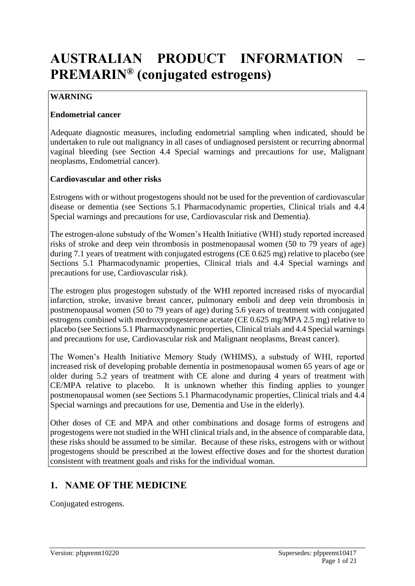# **AUSTRALIAN PRODUCT INFORMATION – PREMARIN® (conjugated estrogens)**

# **WARNING**

### **Endometrial cancer**

Adequate diagnostic measures, including endometrial sampling when indicated, should be undertaken to rule out malignancy in all cases of undiagnosed persistent or recurring abnormal vaginal bleeding (see Section 4.4 Special warnings and precautions for use, Malignant neoplasms, Endometrial cancer).

### **Cardiovascular and other risks**

Estrogens with or without progestogens should not be used for the prevention of cardiovascular disease or dementia (see Sections 5.1 Pharmacodynamic properties, Clinical trials and 4.4 Special warnings and precautions for use, Cardiovascular risk and Dementia).

The estrogen-alone substudy of the Women's Health Initiative (WHI) study reported increased risks of stroke and deep vein thrombosis in postmenopausal women (50 to 79 years of age) during 7.1 years of treatment with conjugated estrogens (CE 0.625 mg) relative to placebo (see Sections 5.1 Pharmacodynamic properties, Clinical trials and 4.4 Special warnings and precautions for use, Cardiovascular risk).

The estrogen plus progestogen substudy of the WHI reported increased risks of myocardial infarction, stroke, invasive breast cancer, pulmonary emboli and deep vein thrombosis in postmenopausal women (50 to 79 years of age) during 5.6 years of treatment with conjugated estrogens combined with medroxyprogesterone acetate (CE 0.625 mg/MPA 2.5 mg) relative to placebo (see Sections 5.1 Pharmacodynamic properties, Clinical trials and 4.4 Special warnings and precautions for use, Cardiovascular risk and Malignant neoplasms, Breast cancer).

The Women's Health Initiative Memory Study (WHIMS), a substudy of WHI, reported increased risk of developing probable dementia in postmenopausal women 65 years of age or older during 5.2 years of treatment with CE alone and during 4 years of treatment with CE/MPA relative to placebo. It is unknown whether this finding applies to younger postmenopausal women (see Sections 5.1 Pharmacodynamic properties, Clinical trials and 4.4 Special warnings and precautions for use, Dementia and Use in the elderly).

Other doses of CE and MPA and other combinations and dosage forms of estrogens and progestogens were not studied in the WHI clinical trials and, in the absence of comparable data, these risks should be assumed to be similar.Because of these risks, estrogens with or without progestogens should be prescribed at the lowest effective doses and for the shortest duration consistent with treatment goals and risks for the individual woman.

# **1. NAME OF THE MEDICINE**

Conjugated estrogens.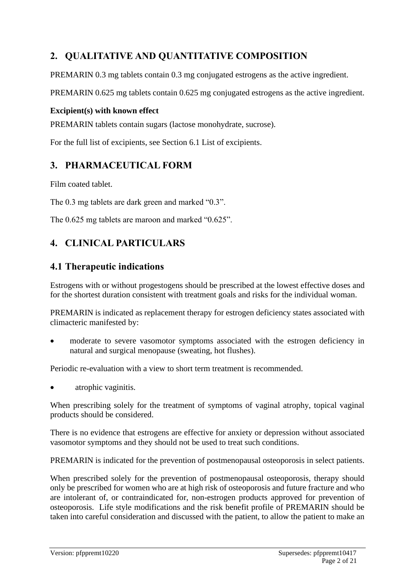# **2. QUALITATIVE AND QUANTITATIVE COMPOSITION**

PREMARIN 0.3 mg tablets contain 0.3 mg conjugated estrogens as the active ingredient.

PREMARIN 0.625 mg tablets contain 0.625 mg conjugated estrogens as the active ingredient.

### **Excipient(s) with known effect**

PREMARIN tablets contain sugars (lactose monohydrate, sucrose).

For the full list of excipients, see Section 6.1 List of excipients.

# **3. PHARMACEUTICAL FORM**

Film coated tablet.

The 0.3 mg tablets are dark green and marked "0.3".

The 0.625 mg tablets are maroon and marked "0.625".

# **4. CLINICAL PARTICULARS**

# **4.1 Therapeutic indications**

Estrogens with or without progestogens should be prescribed at the lowest effective doses and for the shortest duration consistent with treatment goals and risks for the individual woman.

PREMARIN is indicated as replacement therapy for estrogen deficiency states associated with climacteric manifested by:

moderate to severe vasomotor symptoms associated with the estrogen deficiency in natural and surgical menopause (sweating, hot flushes).

Periodic re-evaluation with a view to short term treatment is recommended.

atrophic vaginitis.

When prescribing solely for the treatment of symptoms of vaginal atrophy, topical vaginal products should be considered.

There is no evidence that estrogens are effective for anxiety or depression without associated vasomotor symptoms and they should not be used to treat such conditions.

PREMARIN is indicated for the prevention of postmenopausal osteoporosis in select patients.

When prescribed solely for the prevention of postmenopausal osteoporosis, therapy should only be prescribed for women who are at high risk of osteoporosis and future fracture and who are intolerant of, or contraindicated for, non-estrogen products approved for prevention of osteoporosis. Life style modifications and the risk benefit profile of PREMARIN should be taken into careful consideration and discussed with the patient, to allow the patient to make an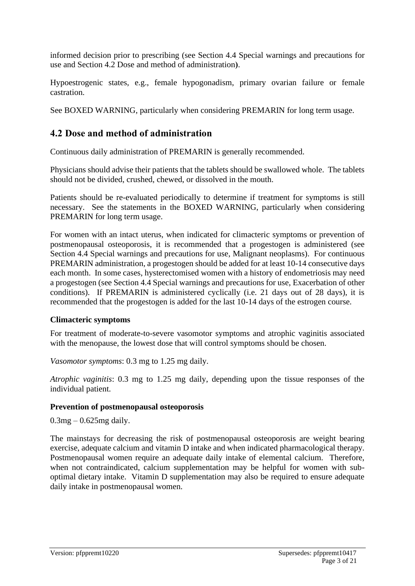informed decision prior to prescribing (see Section 4.4 Special warnings and precautions for use and Section 4.2 Dose and method of administration**)**.

Hypoestrogenic states, e.g., female hypogonadism, primary ovarian failure or female castration.

See BOXED WARNING, particularly when considering PREMARIN for long term usage.

# **4.2 Dose and method of administration**

Continuous daily administration of PREMARIN is generally recommended.

Physicians should advise their patients that the tablets should be swallowed whole. The tablets should not be divided, crushed, chewed, or dissolved in the mouth.

Patients should be re-evaluated periodically to determine if treatment for symptoms is still necessary.See the statements in the BOXED WARNING, particularly when considering PREMARIN for long term usage.

For women with an intact uterus, when indicated for climacteric symptoms or prevention of postmenopausal osteoporosis, it is recommended that a progestogen is administered (see Section 4.4 Special warnings and precautions for use, Malignant neoplasms). For continuous PREMARIN administration, a progestogen should be added for at least 10-14 consecutive days each month. In some cases, hysterectomised women with a history of endometriosis may need a progestogen (see Section 4.4 Special warnings and precautions for use, Exacerbation of other conditions). If PREMARIN is administered cyclically (i.e. 21 days out of 28 days), it is recommended that the progestogen is added for the last 10-14 days of the estrogen course.

#### **Climacteric symptoms**

For treatment of moderate-to-severe vasomotor symptoms and atrophic vaginitis associated with the menopause, the lowest dose that will control symptoms should be chosen.

*Vasomotor symptoms*: 0.3 mg to 1.25 mg daily.

*Atrophic vaginitis*: 0.3 mg to 1.25 mg daily, depending upon the tissue responses of the individual patient.

#### **Prevention of postmenopausal osteoporosis**

 $0.3mg - 0.625mg$  daily.

The mainstays for decreasing the risk of postmenopausal osteoporosis are weight bearing exercise, adequate calcium and vitamin D intake and when indicated pharmacological therapy. Postmenopausal women require an adequate daily intake of elemental calcium. Therefore, when not contraindicated, calcium supplementation may be helpful for women with suboptimal dietary intake. Vitamin D supplementation may also be required to ensure adequate daily intake in postmenopausal women.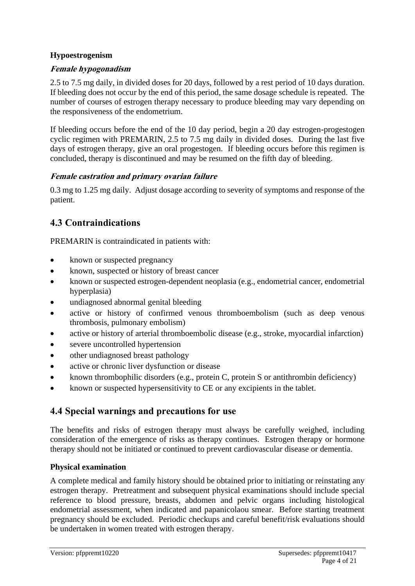### **Hypoestrogenism**

### **Female hypogonadism**

2.5 to 7.5 mg daily, in divided doses for 20 days, followed by a rest period of 10 days duration. If bleeding does not occur by the end of this period, the same dosage schedule is repeated. The number of courses of estrogen therapy necessary to produce bleeding may vary depending on the responsiveness of the endometrium.

If bleeding occurs before the end of the 10 day period, begin a 20 day estrogen-progestogen cyclic regimen with PREMARIN, 2.5 to 7.5 mg daily in divided doses. During the last five days of estrogen therapy, give an oral progestogen. If bleeding occurs before this regimen is concluded, therapy is discontinued and may be resumed on the fifth day of bleeding.

### **Female castration and primary ovarian failure**

0.3 mg to 1.25 mg daily. Adjust dosage according to severity of symptoms and response of the patient.

# **4.3 Contraindications**

PREMARIN is contraindicated in patients with:

- known or suspected pregnancy
- known, suspected or history of breast cancer
- known or suspected estrogen-dependent neoplasia (e.g., endometrial cancer, endometrial hyperplasia)
- undiagnosed abnormal genital bleeding
- active or history of confirmed venous thromboembolism (such as deep venous thrombosis, pulmonary embolism)
- active or history of arterial thromboembolic disease (e.g., stroke, myocardial infarction)
- severe uncontrolled hypertension
- other undiagnosed breast pathology
- active or chronic liver dysfunction or disease
- known thrombophilic disorders (e.g., protein C, protein S or antithrombin deficiency)
- known or suspected hypersensitivity to CE or any excipients in the tablet.

# **4.4 Special warnings and precautions for use**

The benefits and risks of estrogen therapy must always be carefully weighed, including consideration of the emergence of risks as therapy continues. Estrogen therapy or hormone therapy should not be initiated or continued to prevent cardiovascular disease or dementia.

### **Physical examination**

A complete medical and family history should be obtained prior to initiating or reinstating any estrogen therapy. Pretreatment and subsequent physical examinations should include special reference to blood pressure, breasts, abdomen and pelvic organs including histological endometrial assessment, when indicated and papanicolaou smear. Before starting treatment pregnancy should be excluded. Periodic checkups and careful benefit/risk evaluations should be undertaken in women treated with estrogen therapy.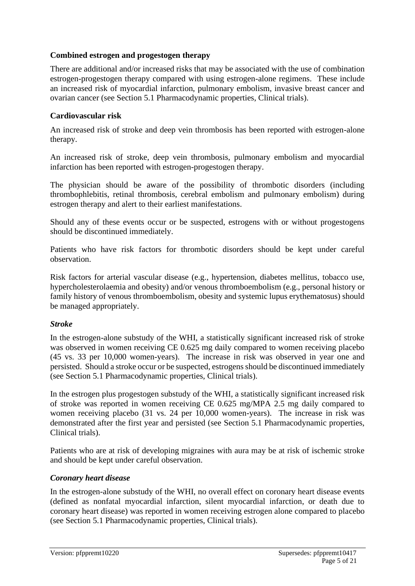### **Combined estrogen and progestogen therapy**

There are additional and/or increased risks that may be associated with the use of combination estrogen-progestogen therapy compared with using estrogen-alone regimens. These include an increased risk of myocardial infarction, pulmonary embolism, invasive breast cancer and ovarian cancer (see Section 5.1 Pharmacodynamic properties, Clinical trials).

#### **Cardiovascular risk**

An increased risk of stroke and deep vein thrombosis has been reported with estrogen-alone therapy.

An increased risk of stroke, deep vein thrombosis, pulmonary embolism and myocardial infarction has been reported with estrogen-progestogen therapy.

The physician should be aware of the possibility of thrombotic disorders (including thrombophlebitis, retinal thrombosis, cerebral embolism and pulmonary embolism) during estrogen therapy and alert to their earliest manifestations.

Should any of these events occur or be suspected, estrogens with or without progestogens should be discontinued immediately.

Patients who have risk factors for thrombotic disorders should be kept under careful observation.

Risk factors for arterial vascular disease (e.g., hypertension, diabetes mellitus, tobacco use, hypercholesterolaemia and obesity) and/or venous thromboembolism (e.g., personal history or family history of venous thromboembolism, obesity and systemic lupus erythematosus) should be managed appropriately.

#### *Stroke*

In the estrogen-alone substudy of the WHI, a statistically significant increased risk of stroke was observed in women receiving CE 0.625 mg daily compared to women receiving placebo (45 vs. 33 per 10,000 women-years). The increase in risk was observed in year one and persisted. Should a stroke occur or be suspected, estrogens should be discontinued immediately (see Section 5.1 Pharmacodynamic properties, Clinical trials).

In the estrogen plus progestogen substudy of the WHI, a statistically significant increased risk of stroke was reported in women receiving CE 0.625 mg/MPA 2.5 mg daily compared to women receiving placebo (31 vs. 24 per 10,000 women-years). The increase in risk was demonstrated after the first year and persisted (see Section 5.1 Pharmacodynamic properties, Clinical trials).

Patients who are at risk of developing migraines with aura may be at risk of ischemic stroke and should be kept under careful observation.

#### *Coronary heart disease*

In the estrogen-alone substudy of the WHI, no overall effect on coronary heart disease events (defined as nonfatal myocardial infarction, silent myocardial infarction, or death due to coronary heart disease) was reported in women receiving estrogen alone compared to placebo (see Section 5.1 Pharmacodynamic properties, Clinical trials).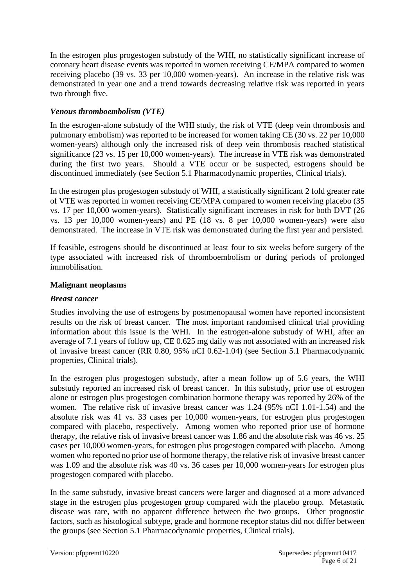In the estrogen plus progestogen substudy of the WHI, no statistically significant increase of coronary heart disease events was reported in women receiving CE/MPA compared to women receiving placebo (39 vs. 33 per 10,000 women-years). An increase in the relative risk was demonstrated in year one and a trend towards decreasing relative risk was reported in years two through five.

# *Venous thromboembolism (VTE)*

In the estrogen-alone substudy of the WHI study, the risk of VTE (deep vein thrombosis and pulmonary embolism) was reported to be increased for women taking CE (30 vs. 22 per 10,000 women-years) although only the increased risk of deep vein thrombosis reached statistical significance (23 vs. 15 per 10,000 women-years). The increase in VTE risk was demonstrated during the first two years. Should a VTE occur or be suspected, estrogens should be discontinued immediately (see Section 5.1 Pharmacodynamic properties, Clinical trials).

In the estrogen plus progestogen substudy of WHI, a statistically significant 2 fold greater rate of VTE was reported in women receiving CE/MPA compared to women receiving placebo (35 vs. 17 per 10,000 women-years). Statistically significant increases in risk for both DVT (26 vs. 13 per 10,000 women-years) and PE (18 vs. 8 per 10,000 women-years) were also demonstrated. The increase in VTE risk was demonstrated during the first year and persisted.

If feasible, estrogens should be discontinued at least four to six weeks before surgery of the type associated with increased risk of thromboembolism or during periods of prolonged immobilisation.

### **Malignant neoplasms**

### *Breast cancer*

Studies involving the use of estrogens by postmenopausal women have reported inconsistent results on the risk of breast cancer. The most important randomised clinical trial providing information about this issue is the WHI. In the estrogen-alone substudy of WHI, after an average of 7.1 years of follow up, CE 0.625 mg daily was not associated with an increased risk of invasive breast cancer (RR 0.80, 95% nCI 0.62-1.04) (see Section 5.1 Pharmacodynamic properties, Clinical trials).

In the estrogen plus progestogen substudy, after a mean follow up of 5.6 years, the WHI substudy reported an increased risk of breast cancer. In this substudy, prior use of estrogen alone or estrogen plus progestogen combination hormone therapy was reported by 26% of the women. The relative risk of invasive breast cancer was 1.24 (95% nCI 1.01-1.54) and the absolute risk was 41 vs. 33 cases per 10,000 women-years, for estrogen plus progestogen compared with placebo, respectively. Among women who reported prior use of hormone therapy, the relative risk of invasive breast cancer was 1.86 and the absolute risk was 46 vs. 25 cases per 10,000 women-years, for estrogen plus progestogen compared with placebo. Among women who reported no prior use of hormone therapy, the relative risk of invasive breast cancer was 1.09 and the absolute risk was 40 vs. 36 cases per 10,000 women-years for estrogen plus progestogen compared with placebo.

In the same substudy, invasive breast cancers were larger and diagnosed at a more advanced stage in the estrogen plus progestogen group compared with the placebo group. Metastatic disease was rare, with no apparent difference between the two groups. Other prognostic factors, such as histological subtype, grade and hormone receptor status did not differ between the groups (see Section 5.1 Pharmacodynamic properties, Clinical trials).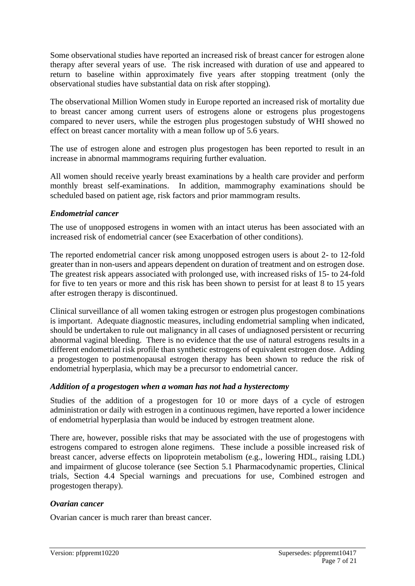Some observational studies have reported an increased risk of breast cancer for estrogen alone therapy after several years of use. The risk increased with duration of use and appeared to return to baseline within approximately five years after stopping treatment (only the observational studies have substantial data on risk after stopping).

The observational Million Women study in Europe reported an increased risk of mortality due to breast cancer among current users of estrogens alone or estrogens plus progestogens compared to never users, while the estrogen plus progestogen substudy of WHI showed no effect on breast cancer mortality with a mean follow up of 5.6 years.

The use of estrogen alone and estrogen plus progestogen has been reported to result in an increase in abnormal mammograms requiring further evaluation.

All women should receive yearly breast examinations by a health care provider and perform monthly breast self-examinations. In addition, mammography examinations should be scheduled based on patient age, risk factors and prior mammogram results.

#### *Endometrial cancer*

The use of unopposed estrogens in women with an intact uterus has been associated with an increased risk of endometrial cancer (see Exacerbation of other conditions).

The reported endometrial cancer risk among unopposed estrogen users is about 2- to 12-fold greater than in non-users and appears dependent on duration of treatment and on estrogen dose. The greatest risk appears associated with prolonged use, with increased risks of 15- to 24-fold for five to ten years or more and this risk has been shown to persist for at least 8 to 15 years after estrogen therapy is discontinued.

Clinical surveillance of all women taking estrogen or estrogen plus progestogen combinations is important. Adequate diagnostic measures, including endometrial sampling when indicated, should be undertaken to rule out malignancy in all cases of undiagnosed persistent or recurring abnormal vaginal bleeding. There is no evidence that the use of natural estrogens results in a different endometrial risk profile than synthetic estrogens of equivalent estrogen dose. Adding a progestogen to postmenopausal estrogen therapy has been shown to reduce the risk of endometrial hyperplasia, which may be a precursor to endometrial cancer.

#### *Addition of a progestogen when a woman has not had a hysterectomy*

Studies of the addition of a progestogen for 10 or more days of a cycle of estrogen administration or daily with estrogen in a continuous regimen, have reported a lower incidence of endometrial hyperplasia than would be induced by estrogen treatment alone.

There are, however, possible risks that may be associated with the use of progestogens with estrogens compared to estrogen alone regimens. These include a possible increased risk of breast cancer, adverse effects on lipoprotein metabolism (e.g., lowering HDL, raising LDL) and impairment of glucose tolerance (see Section 5.1 Pharmacodynamic properties, Clinical trials, Section 4.4 Special warnings and precuations for use, Combined estrogen and progestogen therapy).

#### *Ovarian cancer*

Ovarian cancer is much rarer than breast cancer.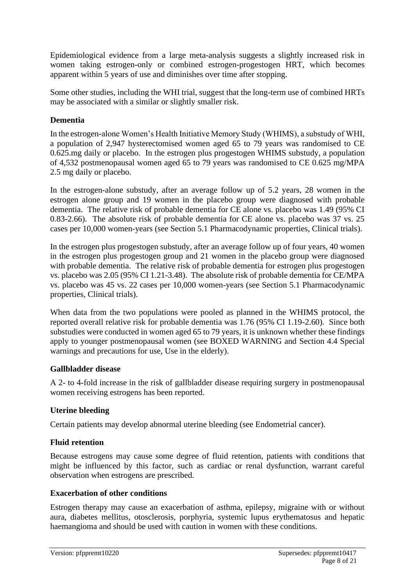Epidemiological evidence from a large meta-analysis suggests a slightly increased risk in women taking estrogen-only or combined estrogen-progestogen HRT, which becomes apparent within 5 years of use and diminishes over time after stopping.

Some other studies, including the WHI trial, suggest that the long-term use of combined HRTs may be associated with a similar or slightly smaller risk.

### **Dementia**

In the estrogen-alone Women's Health Initiative Memory Study (WHIMS), a substudy of WHI, a population of 2,947 hysterectomised women aged 65 to 79 years was randomised to CE 0.625.mg daily or placebo. In the estrogen plus progestogen WHIMS substudy, a population of 4,532 postmenopausal women aged 65 to 79 years was randomised to CE 0.625 mg/MPA 2.5 mg daily or placebo.

In the estrogen-alone substudy, after an average follow up of 5.2 years, 28 women in the estrogen alone group and 19 women in the placebo group were diagnosed with probable dementia. The relative risk of probable dementia for CE alone vs. placebo was 1.49 (95% CI 0.83-2.66). The absolute risk of probable dementia for CE alone vs. placebo was 37 vs. 25 cases per 10,000 women-years (see Section 5.1 Pharmacodynamic properties, Clinical trials).

In the estrogen plus progestogen substudy, after an average follow up of four years, 40 women in the estrogen plus progestogen group and 21 women in the placebo group were diagnosed with probable dementia. The relative risk of probable dementia for estrogen plus progestogen vs. placebo was 2.05 (95% CI 1.21-3.48). The absolute risk of probable dementia for CE/MPA vs. placebo was 45 vs. 22 cases per 10,000 women-years (see Section 5.1 Pharmacodynamic properties, Clinical trials).

When data from the two populations were pooled as planned in the WHIMS protocol, the reported overall relative risk for probable dementia was 1.76 (95% CI 1.19-2.60). Since both substudies were conducted in women aged 65 to 79 years, it is unknown whether these findings apply to younger postmenopausal women (see BOXED WARNING and Section 4.4 Special warnings and precautions for use, Use in the elderly).

#### **Gallbladder disease**

A 2- to 4-fold increase in the risk of gallbladder disease requiring surgery in postmenopausal women receiving estrogens has been reported.

#### **Uterine bleeding**

Certain patients may develop abnormal uterine bleeding (see Endometrial cancer).

#### **Fluid retention**

Because estrogens may cause some degree of fluid retention, patients with conditions that might be influenced by this factor, such as cardiac or renal dysfunction, warrant careful observation when estrogens are prescribed.

#### **Exacerbation of other conditions**

Estrogen therapy may cause an exacerbation of asthma, epilepsy, migraine with or without aura, diabetes mellitus, otosclerosis, porphyria, systemic lupus erythematosus and hepatic haemangioma and should be used with caution in women with these conditions.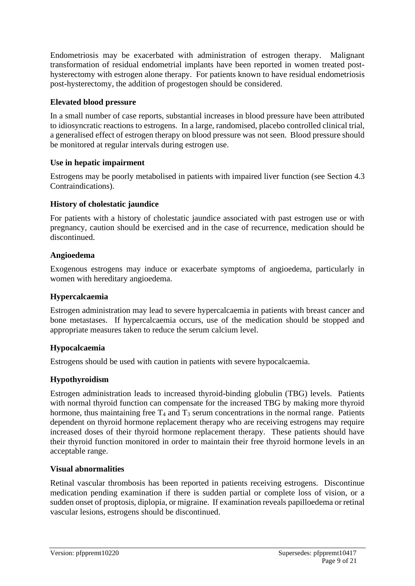Endometriosis may be exacerbated with administration of estrogen therapy. Malignant transformation of residual endometrial implants have been reported in women treated posthysterectomy with estrogen alone therapy. For patients known to have residual endometriosis post-hysterectomy, the addition of progestogen should be considered.

### **Elevated blood pressure**

In a small number of case reports, substantial increases in blood pressure have been attributed to idiosyncratic reactions to estrogens. In a large, randomised, placebo controlled clinical trial, a generalised effect of estrogen therapy on blood pressure was not seen. Blood pressure should be monitored at regular intervals during estrogen use.

### **Use in hepatic impairment**

Estrogens may be poorly metabolised in patients with impaired liver function (see Section 4.3 Contraindications).

### **History of cholestatic jaundice**

For patients with a history of cholestatic jaundice associated with past estrogen use or with pregnancy, caution should be exercised and in the case of recurrence, medication should be discontinued.

#### **Angioedema**

Exogenous estrogens may induce or exacerbate symptoms of angioedema, particularly in women with hereditary angioedema.

### **Hypercalcaemia**

Estrogen administration may lead to severe hypercalcaemia in patients with breast cancer and bone metastases. If hypercalcaemia occurs, use of the medication should be stopped and appropriate measures taken to reduce the serum calcium level.

#### **Hypocalcaemia**

Estrogens should be used with caution in patients with severe hypocalcaemia.

#### **Hypothyroidism**

Estrogen administration leads to increased thyroid-binding globulin (TBG) levels. Patients with normal thyroid function can compensate for the increased TBG by making more thyroid hormone, thus maintaining free  $T_4$  and  $T_3$  serum concentrations in the normal range. Patients dependent on thyroid hormone replacement therapy who are receiving estrogens may require increased doses of their thyroid hormone replacement therapy. These patients should have their thyroid function monitored in order to maintain their free thyroid hormone levels in an acceptable range.

#### **Visual abnormalities**

Retinal vascular thrombosis has been reported in patients receiving estrogens. Discontinue medication pending examination if there is sudden partial or complete loss of vision, or a sudden onset of proptosis, diplopia, or migraine. If examination reveals papilloedema or retinal vascular lesions, estrogens should be discontinued.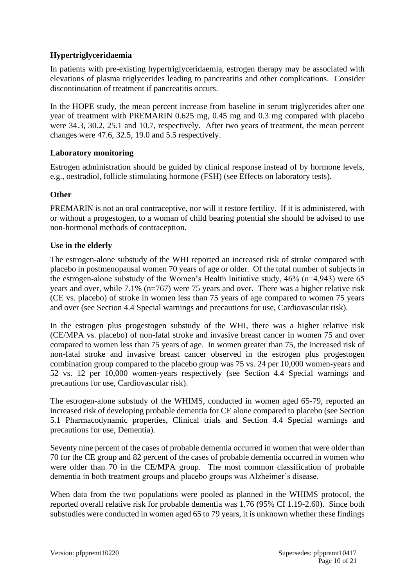# **Hypertriglyceridaemia**

In patients with pre-existing hypertriglyceridaemia, estrogen therapy may be associated with elevations of plasma triglycerides leading to pancreatitis and other complications. Consider discontinuation of treatment if pancreatitis occurs.

In the HOPE study, the mean percent increase from baseline in serum triglycerides after one year of treatment with PREMARIN 0.625 mg, 0.45 mg and 0.3 mg compared with placebo were 34.3, 30.2, 25.1 and 10.7, respectively. After two years of treatment, the mean percent changes were 47.6, 32.5, 19.0 and 5.5 respectively.

### **Laboratory monitoring**

Estrogen administration should be guided by clinical response instead of by hormone levels, e.g., oestradiol, follicle stimulating hormone (FSH) (see Effects on laboratory tests).

### **Other**

PREMARIN is not an oral contraceptive, nor will it restore fertility. If it is administered, with or without a progestogen, to a woman of child bearing potential she should be advised to use non-hormonal methods of contraception.

### **Use in the elderly**

The estrogen-alone substudy of the WHI reported an increased risk of stroke compared with placebo in postmenopausal women 70 years of age or older. Of the total number of subjects in the estrogen-alone substudy of the Women's Health Initiative study, 46% (n=4,943) were 65 years and over, while 7.1% (n=767) were 75 years and over. There was a higher relative risk (CE vs. placebo) of stroke in women less than 75 years of age compared to women 75 years and over (see Section 4.4 Special warnings and precautions for use, Cardiovascular risk).

In the estrogen plus progestogen substudy of the WHI, there was a higher relative risk (CE/MPA vs. placebo) of non-fatal stroke and invasive breast cancer in women 75 and over compared to women less than 75 years of age. In women greater than 75, the increased risk of non-fatal stroke and invasive breast cancer observed in the estrogen plus progestogen combination group compared to the placebo group was 75 vs. 24 per 10,000 women-years and 52 vs. 12 per 10,000 women-years respectively (see Section 4.4 Special warnings and precautions for use, Cardiovascular risk).

The estrogen-alone substudy of the WHIMS, conducted in women aged 65-79, reported an increased risk of developing probable dementia for CE alone compared to placebo (see Section 5.1 Pharmacodynamic properties, Clinical trials and Section 4.4 Special warnings and precautions for use, Dementia).

Seventy nine percent of the cases of probable dementia occurred in women that were older than 70 for the CE group and 82 percent of the cases of probable dementia occurred in women who were older than 70 in the CE/MPA group. The most common classification of probable dementia in both treatment groups and placebo groups was Alzheimer's disease.

When data from the two populations were pooled as planned in the WHIMS protocol, the reported overall relative risk for probable dementia was 1.76 (95% CI 1.19-2.60). Since both substudies were conducted in women aged 65 to 79 years, it is unknown whether these findings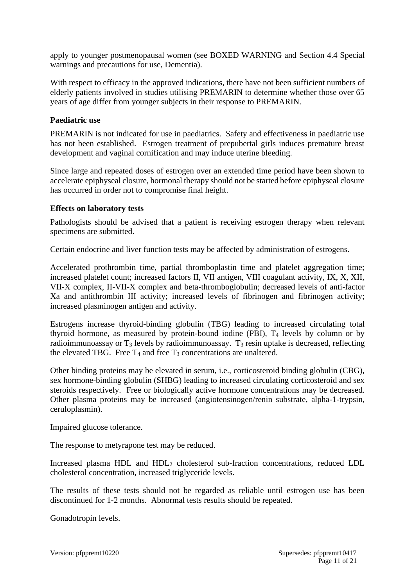apply to younger postmenopausal women (see BOXED WARNING and Section 4.4 Special warnings and precautions for use, Dementia).

With respect to efficacy in the approved indications, there have not been sufficient numbers of elderly patients involved in studies utilising PREMARIN to determine whether those over 65 years of age differ from younger subjects in their response to PREMARIN.

#### **Paediatric use**

PREMARIN is not indicated for use in paediatrics. Safety and effectiveness in paediatric use has not been established. Estrogen treatment of prepubertal girls induces premature breast development and vaginal cornification and may induce uterine bleeding.

Since large and repeated doses of estrogen over an extended time period have been shown to accelerate epiphyseal closure, hormonal therapy should not be started before epiphyseal closure has occurred in order not to compromise final height.

#### **Effects on laboratory tests**

Pathologists should be advised that a patient is receiving estrogen therapy when relevant specimens are submitted.

Certain endocrine and liver function tests may be affected by administration of estrogens.

Accelerated prothrombin time, partial thromboplastin time and platelet aggregation time; increased platelet count; increased factors II, VII antigen, VIII coagulant activity, IX, X, XII, VII-X complex, II-VII-X complex and beta-thromboglobulin; decreased levels of anti-factor Xa and antithrombin III activity; increased levels of fibrinogen and fibrinogen activity; increased plasminogen antigen and activity.

Estrogens increase thyroid-binding globulin (TBG) leading to increased circulating total thyroid hormone, as measured by protein-bound iodine (PBI), T<sup>4</sup> levels by column or by radioimmunoassay or  $T_3$  levels by radioimmunoassay.  $T_3$  resin uptake is decreased, reflecting the elevated TBG. Free  $T_4$  and free  $T_3$  concentrations are unaltered.

Other binding proteins may be elevated in serum, i.e., corticosteroid binding globulin (CBG), sex hormone-binding globulin (SHBG) leading to increased circulating corticosteroid and sex steroids respectively. Free or biologically active hormone concentrations may be decreased. Other plasma proteins may be increased (angiotensinogen/renin substrate, alpha-1-trypsin, ceruloplasmin).

Impaired glucose tolerance.

The response to metyrapone test may be reduced.

Increased plasma HDL and HDL<sup>2</sup> cholesterol sub-fraction concentrations, reduced LDL cholesterol concentration, increased triglyceride levels.

The results of these tests should not be regarded as reliable until estrogen use has been discontinued for 1-2 months. Abnormal tests results should be repeated.

Gonadotropin levels.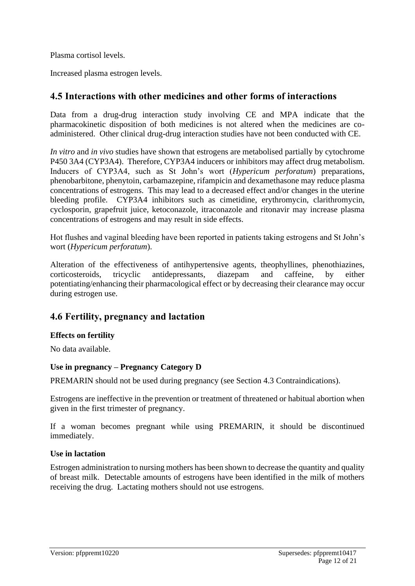Plasma cortisol levels.

Increased plasma estrogen levels.

# **4.5 Interactions with other medicines and other forms of interactions**

Data from a drug-drug interaction study involving CE and MPA indicate that the pharmacokinetic disposition of both medicines is not altered when the medicines are coadministered. Other clinical drug-drug interaction studies have not been conducted with CE.

*In vitro* and *in vivo* studies have shown that estrogens are metabolised partially by cytochrome P450 3A4 (CYP3A4). Therefore, CYP3A4 inducers or inhibitors may affect drug metabolism. Inducers of CYP3A4, such as St John's wort (*Hypericum perforatum*) preparations, phenobarbitone, phenytoin, carbamazepine, rifampicin and dexamethasone may reduce plasma concentrations of estrogens. This may lead to a decreased effect and/or changes in the uterine bleeding profile. CYP3A4 inhibitors such as cimetidine, erythromycin, clarithromycin, cyclosporin, grapefruit juice, ketoconazole, itraconazole and ritonavir may increase plasma concentrations of estrogens and may result in side effects.

Hot flushes and vaginal bleeding have been reported in patients taking estrogens and St John's wort (*Hypericum perforatum*).

Alteration of the effectiveness of antihypertensive agents, theophyllines, phenothiazines, corticosteroids, tricyclic antidepressants, diazepam and caffeine, by either potentiating/enhancing their pharmacological effect or by decreasing their clearance may occur during estrogen use.

# **4.6 Fertility, pregnancy and lactation**

### **Effects on fertility**

No data available.

### **Use in pregnancy – Pregnancy Category D**

PREMARIN should not be used during pregnancy (see Section 4.3 Contraindications).

Estrogens are ineffective in the prevention or treatment of threatened or habitual abortion when given in the first trimester of pregnancy.

If a woman becomes pregnant while using PREMARIN, it should be discontinued immediately.

#### **Use in lactation**

Estrogen administration to nursing mothers has been shown to decrease the quantity and quality of breast milk. Detectable amounts of estrogens have been identified in the milk of mothers receiving the drug. Lactating mothers should not use estrogens.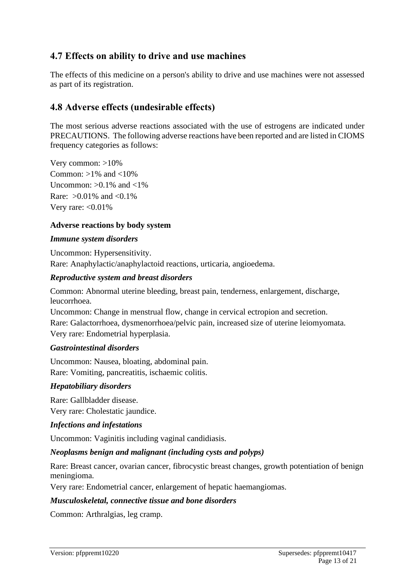# **4.7 Effects on ability to drive and use machines**

The effects of this medicine on a person's ability to drive and use machines were not assessed as part of its registration.

# **4.8 Adverse effects (undesirable effects)**

The most serious adverse reactions associated with the use of estrogens are indicated under PRECAUTIONS. The following adverse reactions have been reported and are listed in CIOMS frequency categories as follows:

Very common: >10% Common:  $>1\%$  and  $<10\%$ Uncommon:  $>0.1\%$  and  $<1\%$ Rare:  $>0.01\%$  and  $< 0.1\%$ Very rare:  $<$  0.01%

#### **Adverse reactions by body system**

#### *Immune system disorders*

Uncommon: Hypersensitivity. Rare: Anaphylactic/anaphylactoid reactions, urticaria, angioedema.

#### *Reproductive system and breast disorders*

Common: Abnormal uterine bleeding, breast pain, tenderness, enlargement, discharge, leucorrhoea.

Uncommon: Change in menstrual flow, change in cervical ectropion and secretion. Rare: Galactorrhoea, dysmenorrhoea/pelvic pain, increased size of uterine leiomyomata. Very rare: Endometrial hyperplasia.

#### *Gastrointestinal disorders*

Uncommon: Nausea, bloating, abdominal pain. Rare: Vomiting, pancreatitis, ischaemic colitis.

#### *Hepatobiliary disorders*

Rare: Gallbladder disease. Very rare: Cholestatic jaundice.

#### *Infections and infestations*

Uncommon: Vaginitis including vaginal candidiasis.

#### *Neoplasms benign and malignant (including cysts and polyps)*

Rare: Breast cancer, ovarian cancer, fibrocystic breast changes, growth potentiation of benign meningioma.

Very rare: Endometrial cancer, enlargement of hepatic haemangiomas.

#### *Musculoskeletal, connective tissue and bone disorders*

Common: Arthralgias, leg cramp.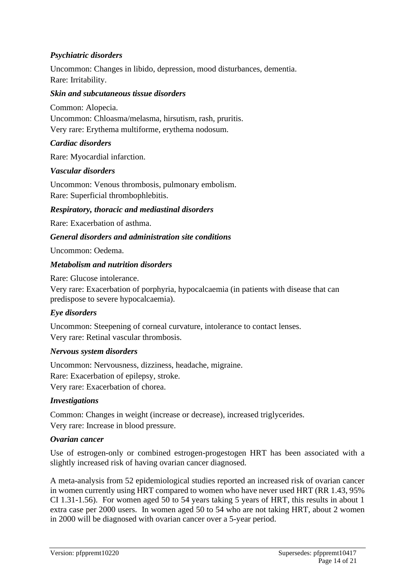### *Psychiatric disorders*

Uncommon: Changes in libido, depression, mood disturbances, dementia. Rare: Irritability.

#### *Skin and subcutaneous tissue disorders*

Common: Alopecia. Uncommon: Chloasma/melasma, hirsutism, rash, pruritis. Very rare: Erythema multiforme, erythema nodosum.

#### *Cardiac disorders*

Rare: Myocardial infarction.

#### *Vascular disorders*

Uncommon: Venous thrombosis, pulmonary embolism. Rare: Superficial thrombophlebitis.

#### *Respiratory, thoracic and mediastinal disorders*

Rare: Exacerbation of asthma.

#### *General disorders and administration site conditions*

Uncommon: Oedema.

#### *Metabolism and nutrition disorders*

Rare: Glucose intolerance.

Very rare: Exacerbation of porphyria, hypocalcaemia (in patients with disease that can predispose to severe hypocalcaemia).

#### *Eye disorders*

Uncommon: Steepening of corneal curvature, intolerance to contact lenses. Very rare: Retinal vascular thrombosis.

#### *Nervous system disorders*

Uncommon: Nervousness, dizziness, headache, migraine. Rare: Exacerbation of epilepsy, stroke. Very rare: Exacerbation of chorea.

#### *Investigations*

Common: Changes in weight (increase or decrease), increased triglycerides. Very rare: Increase in blood pressure.

#### *Ovarian cancer*

Use of estrogen-only or combined estrogen-progestogen HRT has been associated with a slightly increased risk of having ovarian cancer diagnosed.

A meta-analysis from 52 epidemiological studies reported an increased risk of ovarian cancer in women currently using HRT compared to women who have never used HRT (RR 1.43, 95% CI 1.31-1.56). For women aged 50 to 54 years taking 5 years of HRT, this results in about 1 extra case per 2000 users. In women aged 50 to 54 who are not taking HRT, about 2 women in 2000 will be diagnosed with ovarian cancer over a 5-year period.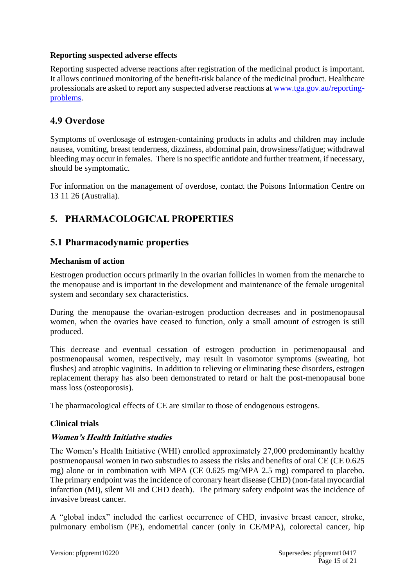### **Reporting suspected adverse effects**

Reporting suspected adverse reactions after registration of the medicinal product is important. It allows continued monitoring of the benefit-risk balance of the medicinal product. Healthcare professionals are asked to report any suspected adverse reactions at [www.tga.gov.au/reporting](http://www.tga.gov.au/reporting-problems)[problems.](http://www.tga.gov.au/reporting-problems)

# **4.9 Overdose**

Symptoms of overdosage of estrogen-containing products in adults and children may include nausea, vomiting, breast tenderness, dizziness, abdominal pain, drowsiness/fatigue; withdrawal bleeding may occur in females. There is no specific antidote and further treatment, if necessary, should be symptomatic.

For information on the management of overdose, contact the Poisons Information Centre on 13 11 26 (Australia).

# **5. PHARMACOLOGICAL PROPERTIES**

# **5.1 Pharmacodynamic properties**

### **Mechanism of action**

Eestrogen production occurs primarily in the ovarian follicles in women from the menarche to the menopause and is important in the development and maintenance of the female urogenital system and secondary sex characteristics.

During the menopause the ovarian-estrogen production decreases and in postmenopausal women, when the ovaries have ceased to function, only a small amount of estrogen is still produced.

This decrease and eventual cessation of estrogen production in perimenopausal and postmenopausal women, respectively, may result in vasomotor symptoms (sweating, hot flushes) and atrophic vaginitis. In addition to relieving or eliminating these disorders, estrogen replacement therapy has also been demonstrated to retard or halt the post-menopausal bone mass loss (osteoporosis).

The pharmacological effects of CE are similar to those of endogenous estrogens.

#### **Clinical trials**

#### **Women's Health Initiative studies**

The Women's Health Initiative (WHI) enrolled approximately 27,000 predominantly healthy postmenopausal women in two substudies to assess the risks and benefits of oral CE (CE 0.625 mg) alone or in combination with MPA (CE 0.625 mg/MPA 2.5 mg) compared to placebo. The primary endpoint was the incidence of coronary heart disease (CHD) (non-fatal myocardial infarction (MI), silent MI and CHD death). The primary safety endpoint was the incidence of invasive breast cancer.

A "global index" included the earliest occurrence of CHD, invasive breast cancer, stroke, pulmonary embolism (PE), endometrial cancer (only in CE/MPA), colorectal cancer, hip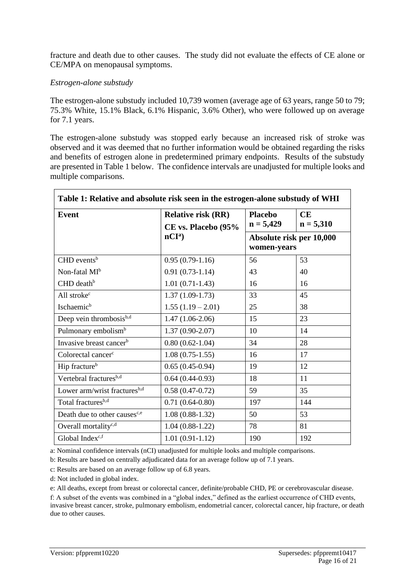fracture and death due to other causes. The study did not evaluate the effects of CE alone or CE/MPA on menopausal symptoms.

#### *Estrogen-alone substudy*

The estrogen-alone substudy included 10,739 women (average age of 63 years, range 50 to 79; 75.3% White, 15.1% Black, 6.1% Hispanic, 3.6% Other), who were followed up on average for 7.1 years.

The estrogen-alone substudy was stopped early because an increased risk of stroke was observed and it was deemed that no further information would be obtained regarding the risks and benefits of estrogen alone in predetermined primary endpoints. Results of the substudy are presented in Table 1 below. The confidence intervals are unadjusted for multiple looks and multiple comparisons.

| Table 1: Relative and absolute risk seen in the estrogen-alone substudy of WHI |                                                  |                                         |                   |  |
|--------------------------------------------------------------------------------|--------------------------------------------------|-----------------------------------------|-------------------|--|
| <b>Event</b>                                                                   | <b>Relative risk (RR)</b><br>CE vs. Placebo (95% | <b>Placebo</b><br>$n = 5,429$           | CE<br>$n = 5,310$ |  |
|                                                                                | nCI <sup>a</sup>                                 | Absolute risk per 10,000<br>women-years |                   |  |
| $CHD$ events <sup>b</sup>                                                      | $0.95(0.79-1.16)$                                | 56                                      | 53                |  |
| Non-fatal MI <sup>b</sup>                                                      | $0.91(0.73-1.14)$                                | 43                                      | 40                |  |
| CHD death <sup>b</sup>                                                         | $1.01(0.71-1.43)$                                | 16                                      | 16                |  |
| All stroke <sup>c</sup>                                                        | $1.37(1.09-1.73)$                                | 33                                      | 45                |  |
| Ischaemic <sup>b</sup>                                                         | $1.55(1.19-2.01)$                                | 25                                      | 38                |  |
| Deep vein thrombosis <sup>b,d</sup>                                            | $1.47(1.06-2.06)$                                | 15                                      | 23                |  |
| Pulmonary embolism <sup>b</sup>                                                | $1.37(0.90-2.07)$                                | 10                                      | 14                |  |
| Invasive breast cancer <sup>b</sup>                                            | $0.80(0.62-1.04)$                                | 34                                      | 28                |  |
| Colorectal cancer <sup>c</sup>                                                 | $1.08(0.75-1.55)$                                | 16                                      | 17                |  |
| Hip fracture <sup>b</sup>                                                      | $0.65(0.45-0.94)$                                | 19                                      | 12                |  |
| Vertebral fractures <sup>b,d</sup>                                             | $0.64(0.44-0.93)$                                | 18                                      | 11                |  |
| Lower arm/wrist fractures <sup>b,d</sup>                                       | $0.58(0.47-0.72)$                                | 59                                      | 35                |  |
| Total fractures <sup>b,d</sup>                                                 | $0.71(0.64-0.80)$                                | 197                                     | 144               |  |
| Death due to other causes <sup>c,e</sup>                                       | $1.08(0.88-1.32)$                                | 50                                      | 53                |  |
| Overall mortality <sup>c,d</sup>                                               | $1.04(0.88-1.22)$                                | 78                                      | 81                |  |
| Global Indexc,f                                                                | $1.01(0.91-1.12)$                                | 190                                     | 192               |  |

a: Nominal confidence intervals (nCI) unadjusted for multiple looks and multiple comparisons.

b: Results are based on centrally adjudicated data for an average follow up of 7.1 years.

c: Results are based on an average follow up of 6.8 years.

d: Not included in global index.

e: All deaths, except from breast or colorectal cancer, definite/probable CHD, PE or cerebrovascular disease.

f: A subset of the events was combined in a "global index," defined as the earliest occurrence of CHD events, invasive breast cancer, stroke, pulmonary embolism, endometrial cancer, colorectal cancer, hip fracture, or death due to other causes.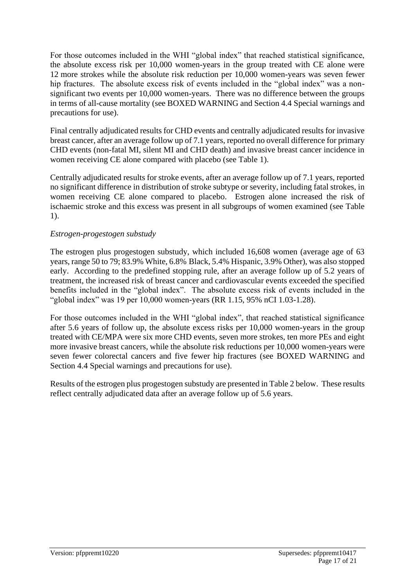For those outcomes included in the WHI "global index" that reached statistical significance, the absolute excess risk per 10,000 women-years in the group treated with CE alone were 12 more strokes while the absolute risk reduction per 10,000 women-years was seven fewer hip fractures. The absolute excess risk of events included in the "global index" was a nonsignificant two events per 10,000 women-years. There was no difference between the groups in terms of all-cause mortality (see BOXED WARNING and Section 4.4 Special warnings and precautions for use).

Final centrally adjudicated results for CHD events and centrally adjudicated results for invasive breast cancer, after an average follow up of 7.1 years, reported no overall difference for primary CHD events (non-fatal MI, silent MI and CHD death) and invasive breast cancer incidence in women receiving CE alone compared with placebo (see Table 1).

Centrally adjudicated results for stroke events, after an average follow up of 7.1 years, reported no significant difference in distribution of stroke subtype or severity, including fatal strokes, in women receiving CE alone compared to placebo. Estrogen alone increased the risk of ischaemic stroke and this excess was present in all subgroups of women examined (see Table 1).

### *Estrogen-progestogen substudy*

The estrogen plus progestogen substudy, which included 16,608 women (average age of 63 years, range 50 to 79; 83.9% White, 6.8% Black, 5.4% Hispanic, 3.9% Other), was also stopped early. According to the predefined stopping rule, after an average follow up of 5.2 years of treatment, the increased risk of breast cancer and cardiovascular events exceeded the specified benefits included in the "global index". The absolute excess risk of events included in the "global index" was 19 per 10,000 women-years (RR 1.15, 95% nCI 1.03-1.28).

For those outcomes included in the WHI "global index", that reached statistical significance after 5.6 years of follow up, the absolute excess risks per 10,000 women-years in the group treated with CE/MPA were six more CHD events, seven more strokes, ten more PEs and eight more invasive breast cancers, while the absolute risk reductions per 10,000 women-years were seven fewer colorectal cancers and five fewer hip fractures (see BOXED WARNING and Section 4.4 Special warnings and precautions for use).

Results of the estrogen plus progestogen substudy are presented i[n Table](#page-17-0) 2 below. These results reflect centrally adjudicated data after an average follow up of 5.6 years.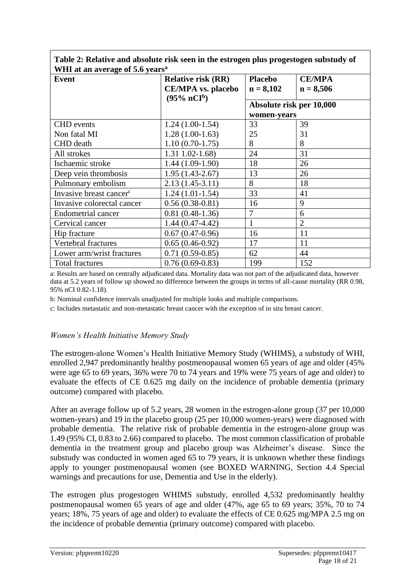| WHI at an average of 5.6 years <sup>a</sup> |                           |                          |                |  |  |
|---------------------------------------------|---------------------------|--------------------------|----------------|--|--|
| Event                                       | <b>Relative risk (RR)</b> | <b>Placebo</b>           | <b>CE/MPA</b>  |  |  |
|                                             | <b>CE/MPA</b> vs. placebo | $n = 8,102$              | $n = 8,506$    |  |  |
|                                             | $(95\% \; nCIb)$          |                          |                |  |  |
|                                             |                           | Absolute risk per 10,000 |                |  |  |
|                                             |                           | women-years              |                |  |  |
| <b>CHD</b> events                           | $1.24(1.00-1.54)$         | 33                       | 39             |  |  |
| Non fatal MI                                | $1.28(1.00-1.63)$         | 25                       | 31             |  |  |
| <b>CHD</b> death                            | $1.10(0.70-1.75)$         | 8                        | 8              |  |  |
| All strokes                                 | $1.31$ $1.02 - 1.68$      | 24                       | 31             |  |  |
| Ischaemic stroke                            | $1.44(1.09-1.90)$         | 18                       | 26             |  |  |
| Deep vein thrombosis                        | $1.95(1.43-2.67)$         | 13                       | 26             |  |  |
| Pulmonary embolism                          | $2.13(1.45-3.11)$         | 8                        | 18             |  |  |
| Invasive breast cancer <sup>c</sup>         | $1.24(1.01-1.54)$         | 33                       | 41             |  |  |
| Invasive colorectal cancer                  | $0.56(0.38-0.81)$         | 16                       | 9              |  |  |
| <b>Endometrial cancer</b>                   | $0.81(0.48-1.36)$         | 7                        | 6              |  |  |
| Cervical cancer                             | $1.44(0.47-4.42)$         |                          | $\overline{2}$ |  |  |
| Hip fracture                                | $0.67(0.47-0.96)$         | 16                       | 11             |  |  |
| Vertebral fractures                         | $0.65(0.46-0.92)$         | 17                       | 11             |  |  |
| Lower arm/wrist fractures                   | $0.71(0.59-0.85)$         | 62                       | 44             |  |  |
| <b>Total fractures</b>                      | $0.76(0.69-0.83)$         | 199                      | 152            |  |  |

<span id="page-17-0"></span>**Table 2: Relative and absolute risk seen in the estrogen plus progestogen substudy of WHI at an average of 5.6 years<sup>a</sup>**

a: Results are based on centrally adjudicated data. Mortality data was not part of the adjudicated data, however data at 5.2 years of follow up showed no difference between the groups in terms of all-cause mortality (RR 0.98, 95% nCI 0.82-1.18).

b: Nominal confidence intervals unadjusted for multiple looks and multiple comparisons.

c: Includes metastatic and non-metastatic breast cancer with the exception of in situ breast cancer.

#### *Women's Health Initiative Memory Study*

The estrogen-alone Women's Health Initiative Memory Study (WHIMS), a substudy of WHI, enrolled 2,947 predominantly healthy postmenopausal women 65 years of age and older (45% were age 65 to 69 years, 36% were 70 to 74 years and 19% were 75 years of age and older) to evaluate the effects of CE 0.625 mg daily on the incidence of probable dementia (primary outcome) compared with placebo.

After an average follow up of 5.2 years, 28 women in the estrogen-alone group (37 per 10,000 women-years) and 19 in the placebo group (25 per 10,000 women-years) were diagnosed with probable dementia. The relative risk of probable dementia in the estrogen-alone group was 1.49 (95% CI, 0.83 to 2.66) compared to placebo. The most common classification of probable dementia in the treatment group and placebo group was Alzheimer's disease. Since the substudy was conducted in women aged 65 to 79 years, it is unknown whether these findings apply to younger postmenopausal women (see BOXED WARNING, Section 4.4 Special warnings and precautions for use, Dementia and Use in the elderly).

The estrogen plus progestogen WHIMS substudy, enrolled 4,532 predominantly healthy postmenopausal women 65 years of age and older (47%, age 65 to 69 years; 35%, 70 to 74 years; 18%, 75 years of age and older) to evaluate the effects of CE 0.625 mg/MPA 2.5 mg on the incidence of probable dementia (primary outcome) compared with placebo.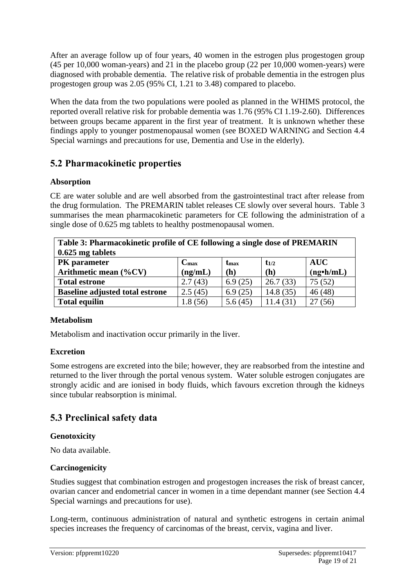After an average follow up of four years, 40 women in the estrogen plus progestogen group (45 per 10,000 woman-years) and 21 in the placebo group (22 per 10,000 women-years) were diagnosed with probable dementia. The relative risk of probable dementia in the estrogen plus progestogen group was 2.05 (95% CI, 1.21 to 3.48) compared to placebo.

When the data from the two populations were pooled as planned in the WHIMS protocol, the reported overall relative risk for probable dementia was 1.76 (95% CI 1.19-2.60). Differences between groups became apparent in the first year of treatment. It is unknown whether these findings apply to younger postmenopausal women (see BOXED WARNING and Section 4.4 Special warnings and precautions for use, Dementia and Use in the elderly).

# **5.2 Pharmacokinetic properties**

### **Absorption**

CE are water soluble and are well absorbed from the gastrointestinal tract after release from the drug formulation. The PREMARIN tablet releases CE slowly over several hours. Table 3 summarises the mean pharmacokinetic parameters for CE following the administration of a single dose of 0.625 mg tablets to healthy postmenopausal women.

| Table 3: Pharmacokinetic profile of CE following a single dose of PREMARIN |                  |                  |           |                  |  |
|----------------------------------------------------------------------------|------------------|------------------|-----------|------------------|--|
| $0.625$ mg tablets                                                         |                  |                  |           |                  |  |
| <b>PK</b> parameter                                                        | $C_{\text{max}}$ | t <sub>max</sub> | $t_{1/2}$ | <b>AUC</b>       |  |
| Arithmetic mean $(\%CV)$                                                   | (ng/mL)          | (h)              | (h)       | $(ng\cdot h/mL)$ |  |
| <b>Total estrone</b>                                                       | 2.7(43)          | 6.9(25)          | 26.7(33)  | 75(52)           |  |
| <b>Baseline adjusted total estrone</b>                                     | 2.5(45)          | 6.9(25)          | 14.8(35)  | 46(48)           |  |
| <b>Total equilin</b>                                                       | 1.8 (56)         | 5.6(45)          | 11.4(31)  | (56)             |  |

#### **Metabolism**

Metabolism and inactivation occur primarily in the liver.

### **Excretion**

Some estrogens are excreted into the bile; however, they are reabsorbed from the intestine and returned to the liver through the portal venous system. Water soluble estrogen conjugates are strongly acidic and are ionised in body fluids, which favours excretion through the kidneys since tubular reabsorption is minimal.

# **5.3 Preclinical safety data**

### **Genotoxicity**

No data available.

### **Carcinogenicity**

Studies suggest that combination estrogen and progestogen increases the risk of breast cancer, ovarian cancer and endometrial cancer in women in a time dependant manner (see Section 4.4 Special warnings and precautions for use).

Long-term, continuous administration of natural and synthetic estrogens in certain animal species increases the frequency of carcinomas of the breast, cervix, vagina and liver.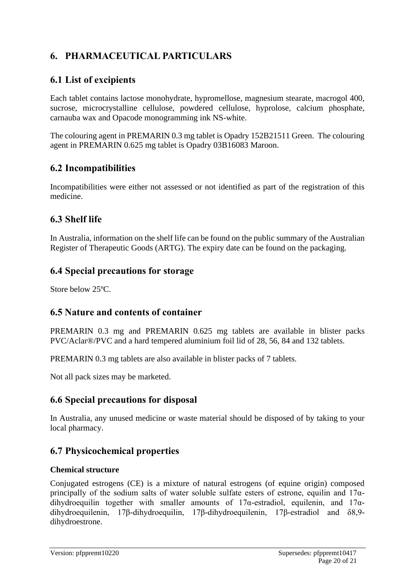# **6. PHARMACEUTICAL PARTICULARS**

# **6.1 List of excipients**

Each tablet contains lactose monohydrate, hypromellose, magnesium stearate, macrogol 400, sucrose, microcrystalline cellulose, powdered cellulose, hyprolose, calcium phosphate, carnauba wax and Opacode monogramming ink NS-white.

The colouring agent in PREMARIN 0.3 mg tablet is Opadry 152B21511 Green. The colouring agent in PREMARIN 0.625 mg tablet is Opadry 03B16083 Maroon.

# **6.2 Incompatibilities**

Incompatibilities were either not assessed or not identified as part of the registration of this medicine.

# **6.3 Shelf life**

In Australia, information on the shelf life can be found on the public summary of the Australian Register of Therapeutic Goods (ARTG). The expiry date can be found on the packaging.

# **6.4 Special precautions for storage**

Store below 25ºC.

# **6.5 Nature and contents of container**

PREMARIN 0.3 mg and PREMARIN 0.625 mg tablets are available in blister packs PVC/Aclar®/PVC and a hard tempered aluminium foil lid of 28, 56, 84 and 132 tablets.

PREMARIN 0.3 mg tablets are also available in blister packs of 7 tablets.

Not all pack sizes may be marketed.

# **6.6 Special precautions for disposal**

In Australia, any unused medicine or waste material should be disposed of by taking to your local pharmacy.

# **6.7 Physicochemical properties**

### **Chemical structure**

Conjugated estrogens (CE) is a mixture of natural estrogens (of equine origin) composed principally of the sodium salts of water soluble sulfate esters of estrone, equilin and  $17\alpha$ dihydroequilin together with smaller amounts of  $17\alpha$ -estradiol, equilenin, and  $17\alpha$ dihydroequilenin, 17β-dihydroequilin, 17β-dihydroequilenin, 17β-estradiol and δ8,9 dihydroestrone.